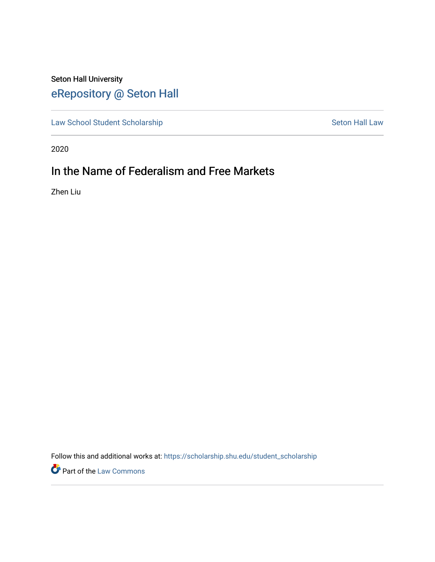# Seton Hall University [eRepository @ Seton Hall](https://scholarship.shu.edu/)

[Law School Student Scholarship](https://scholarship.shu.edu/student_scholarship) Seton Hall Law

2020

# In the Name of Federalism and Free Markets

Zhen Liu

Follow this and additional works at: [https://scholarship.shu.edu/student\\_scholarship](https://scholarship.shu.edu/student_scholarship?utm_source=scholarship.shu.edu%2Fstudent_scholarship%2F1030&utm_medium=PDF&utm_campaign=PDFCoverPages) 

Part of the [Law Commons](http://network.bepress.com/hgg/discipline/578?utm_source=scholarship.shu.edu%2Fstudent_scholarship%2F1030&utm_medium=PDF&utm_campaign=PDFCoverPages)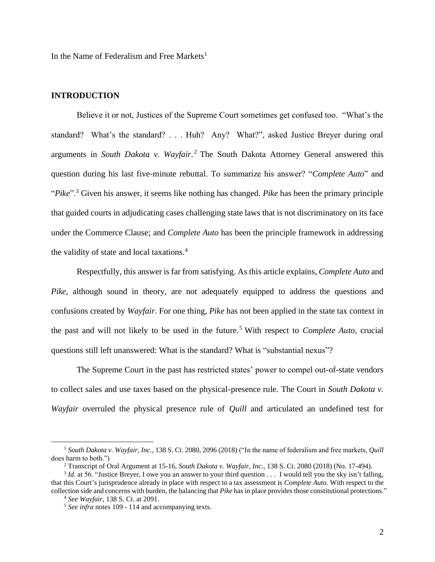In the Name of Federalism and Free Markets<sup>1</sup>

## **INTRODUCTION**

Believe it or not, Justices of the Supreme Court sometimes get confused too. "What's the standard? What's the standard? . . . Huh? Any? What?", asked Justice Breyer during oral arguments in *South Dakota v. Wayfair*. <sup>2</sup> The South Dakota Attorney General answered this question during his last five-minute rebuttal. To summarize his answer? "*Complete Auto*" and "*Pike*".<sup>3</sup> Given his answer, it seems like nothing has changed. *Pike* has been the primary principle that guided courts in adjudicating cases challenging state laws that is not discriminatory on its face under the Commerce Clause; and *Complete Auto* has been the principle framework in addressing the validity of state and local taxations.<sup>4</sup>

Respectfully, this answer is far from satisfying. As this article explains, *Complete Auto* and *Pike*, although sound in theory, are not adequately equipped to address the questions and confusions created by *Wayfair*. For one thing, *Pike* has not been applied in the state tax context in the past and will not likely to be used in the future. <sup>5</sup> With respect to *Complete Auto*, crucial questions still left unanswered: What is the standard? What is "substantial nexus"?

The Supreme Court in the past has restricted states' power to compel out-of-state vendors to collect sales and use taxes based on the physical-presence rule. The Court in *South Dakota v. Wayfair* overruled the physical presence rule of *Quill* and articulated an undefined test for

<sup>1</sup> *South Dakota v. Wayfair, Inc.*, 138 S. Ct. 2080, 2096 (2018) ("In the name of federalism and free markets, *Quill*  does harm to both.")

<sup>2</sup> Transcript of Oral Argument at 15-16, *South Dakota v. Wayfair, Inc.*, 138 S. Ct. 2080 (2018) (No. 17-494).

 $3$  *Id.* at 56. "Justice Breyer, I owe you an answer to your third question  $\ldots$  I would tell you the sky isn't falling, that this Court's jurisprudence already in place with respect to a tax assessment is *Complete Auto*. With respect to the collection side and concerns with burden, the balancing that *Pike* has in place provides those constitutional protections."

<sup>4</sup> *See Wayfair*, 138 S. Ct. at 2091.

<sup>&</sup>lt;sup>5</sup> See infra notes 109 - 114 and accompanying texts.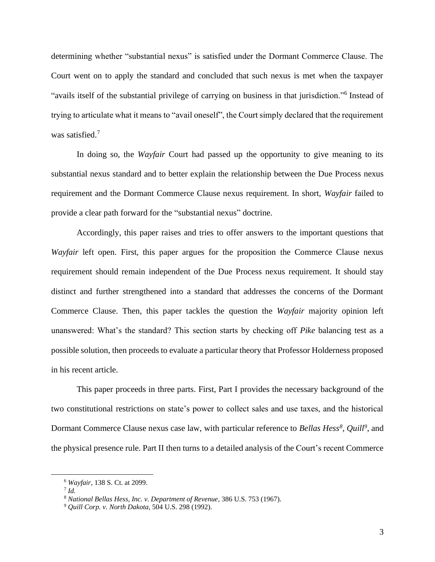determining whether "substantial nexus" is satisfied under the Dormant Commerce Clause. The Court went on to apply the standard and concluded that such nexus is met when the taxpayer "avails itself of the substantial privilege of carrying on business in that jurisdiction."<sup>6</sup> Instead of trying to articulate what it means to "avail oneself", the Court simply declared that the requirement was satisfied.<sup>7</sup>

In doing so, the *Wayfair* Court had passed up the opportunity to give meaning to its substantial nexus standard and to better explain the relationship between the Due Process nexus requirement and the Dormant Commerce Clause nexus requirement. In short, *Wayfair* failed to provide a clear path forward for the "substantial nexus" doctrine.

Accordingly, this paper raises and tries to offer answers to the important questions that *Wayfair* left open. First, this paper argues for the proposition the Commerce Clause nexus requirement should remain independent of the Due Process nexus requirement. It should stay distinct and further strengthened into a standard that addresses the concerns of the Dormant Commerce Clause. Then, this paper tackles the question the *Wayfair* majority opinion left unanswered: What's the standard? This section starts by checking off *Pike* balancing test as a possible solution, then proceeds to evaluate a particular theory that Professor Holderness proposed in his recent article.

This paper proceeds in three parts. First, Part I provides the necessary background of the two constitutional restrictions on state's power to collect sales and use taxes, and the historical Dormant Commerce Clause nexus case law, with particular reference to *Bellas Hess<sup>8</sup>* , *Quill<sup>9</sup>* , and the physical presence rule. Part II then turns to a detailed analysis of the Court's recent Commerce

<sup>6</sup> *Wayfair*, 138 S. Ct. at 2099.

<sup>7</sup> *Id.*

<sup>8</sup> *National Bellas Hess, Inc. v. Department of Revenue*, 386 U.S. 753 (1967).

<sup>9</sup> *Quill Corp. v. North Dakota*, 504 U.S. 298 (1992).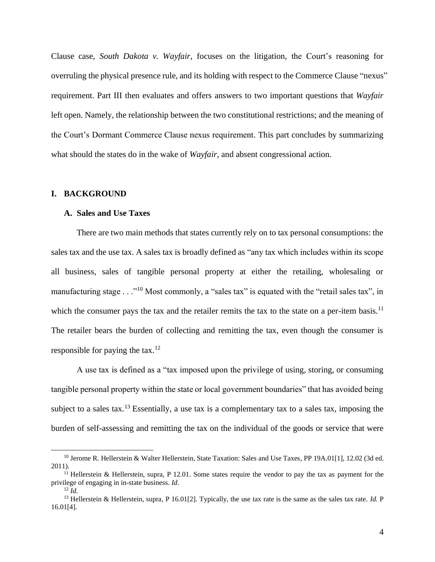Clause case, *South Dakota v. Wayfair*, focuses on the litigation, the Court's reasoning for overruling the physical presence rule, and its holding with respect to the Commerce Clause "nexus" requirement. Part III then evaluates and offers answers to two important questions that *Wayfair* left open. Namely, the relationship between the two constitutional restrictions; and the meaning of the Court's Dormant Commerce Clause nexus requirement. This part concludes by summarizing what should the states do in the wake of *Wayfair*, and absent congressional action.

## **I. BACKGROUND**

#### **A. Sales and Use Taxes**

There are two main methods that states currently rely on to tax personal consumptions: the sales tax and the use tax. A sales tax is broadly defined as "any tax which includes within its scope all business, sales of tangible personal property at either the retailing, wholesaling or manufacturing stage . . ."<sup>10</sup> Most commonly, a "sales tax" is equated with the "retail sales tax", in which the consumer pays the tax and the retailer remits the tax to the state on a per-item basis.<sup>11</sup> The retailer bears the burden of collecting and remitting the tax, even though the consumer is responsible for paying the tax.<sup>12</sup>

A use tax is defined as a "tax imposed upon the privilege of using, storing, or consuming tangible personal property within the state or local government boundaries" that has avoided being subject to a sales tax.<sup>13</sup> Essentially, a use tax is a complementary tax to a sales tax, imposing the burden of self-assessing and remitting the tax on the individual of the goods or service that were

<sup>&</sup>lt;sup>10</sup> Jerome R. Hellerstein & Walter Hellerstein, State Taxation: Sales and Use Taxes, PP 19A.01[1], 12.02 (3d ed. 2011).

<sup>&</sup>lt;sup>11</sup> Hellerstein & Hellerstein, supra, P 12.01. Some states require the vendor to pay the tax as payment for the privilege of engaging in in-state business. *Id*.

 $^{12}$  *Id.* 

<sup>13</sup> Hellerstein & Hellerstein, supra, P 16.01[2]. Typically, the use tax rate is the same as the sales tax rate. *Id.* P 16.01[4].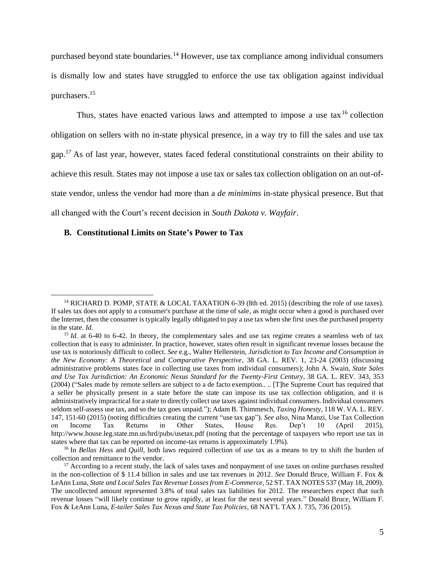purchased beyond state boundaries.<sup>14</sup> However, use tax compliance among individual consumers is dismally low and states have struggled to enforce the use tax obligation against individual purchasers. 15

Thus, states have enacted various laws and attempted to impose a use tax<sup>16</sup> collection obligation on sellers with no in-state physical presence, in a way try to fill the sales and use tax gap.<sup>17</sup> As of last year, however, states faced federal constitutional constraints on their ability to achieve this result. States may not impose a use tax or sales tax collection obligation on an out-ofstate vendor, unless the vendor had more than a *de minimims* in-state physical presence. But that all changed with the Court's recent decision in *South Dakota v. Wayfair*.

## **B. Constitutional Limits on State's Power to Tax**

<sup>&</sup>lt;sup>14</sup> RICHARD D. POMP, STATE & LOCAL TAXATION 6-39 (8th ed. 2015) (describing the role of use taxes). If sales tax does not apply to a consumer's purchase at the time of sale, as might occur when a good is purchased over the Internet, then the consumer is typically legally obligated to pay a use tax when she first uses the purchased property in the state. *Id.*

<sup>&</sup>lt;sup>15</sup> *Id.* at 6-40 to 6-42. In theory, the complementary sales and use tax regime creates a seamless web of tax collection that is easy to administer. In practice, however, states often result in significant revenue losses because the use tax is notoriously difficult to collect. *See* e.g., Walter Hellerstein, *Jurisdiction to Tax Income and Consumption in the New Economy: A Theoretical and Comparative Perspective*, 38 GA. L. REV. 1, 23-24 (2003) (discussing administrative problems states face in collecting use taxes from individual consumers); John A. Swain, *State Sales and Use Tax Jurisdiction: An Economic Nexus Standard for the Twenty-First Century*, 38 GA. L. REV. 343, 353 (2004) ("Sales made by remote sellers are subject to a de facto exemption.. .. [T]he Supreme Court has required that a seller be physically present in a state before the state can impose its use tax collection obligation, and it is administratively impractical for a state to directly collect use taxes against individual consumers. Individual consumers seldom self-assess use tax, and so the tax goes unpaid."); Adam B. Thimmesch, *Taxing Honesty*, 118 W. VA. L. REV. 147, 151-60 (2015) (noting difficulties creating the current "use tax gap"). *See also*, Nina Manzi, Use Tax Collection on Income Tax Returns in Other States, House Res. Dep't 10 (April 2015), http://www.house.leg.state.mn.us/hrd/pubs/usetax.pdf (noting that the percentage of taxpayers who report use tax in states where that tax can be reported on income-tax returns is approximately 1.9%).

<sup>16</sup> In *Bellas Hess* and *Quill*, both laws required collection of *use* tax as a means to try to shift the burden of collection and remittance to the vendor.

<sup>&</sup>lt;sup>17</sup> According to a recent study, the lack of sales taxes and nonpayment of use taxes on online purchases resulted in the non-collection of \$ 11.4 billion in sales and use tax revenues in 2012. *See* Donald Bruce, William F. Fox & LeAnn Luna, *State and Local Sales Tax Revenue Losses from E-Commerce*, 52 ST. TAX NOTES 537 (May 18, 2009). The uncollected amount represented 3.8% of total sales tax liabilities for 2012. The researchers expect that such revenue losses "will likely continue to grow rapidly, at least for the next several years." Donald Bruce, William F. Fox & LeAnn Luna, *E-tailer Sales Tax Nexus and State Tax Policies*, 68 NAT'L TAX J. 735, 736 (2015).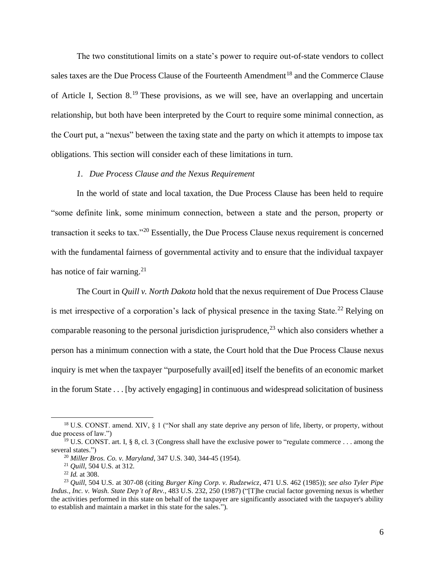The two constitutional limits on a state's power to require out-of-state vendors to collect sales taxes are the Due Process Clause of the Fourteenth Amendment<sup>18</sup> and the Commerce Clause of Article I, Section 8.<sup>19</sup> These provisions, as we will see, have an overlapping and uncertain relationship, but both have been interpreted by the Court to require some minimal connection, as the Court put, a "nexus" between the taxing state and the party on which it attempts to impose tax obligations. This section will consider each of these limitations in turn.

## *1. Due Process Clause and the Nexus Requirement*

In the world of state and local taxation, the Due Process Clause has been held to require "some definite link, some minimum connection, between a state and the person, property or transaction it seeks to tax."<sup>20</sup> Essentially, the Due Process Clause nexus requirement is concerned with the fundamental fairness of governmental activity and to ensure that the individual taxpayer has notice of fair warning.<sup>21</sup>

The Court in *Quill v. North Dakota* hold that the nexus requirement of Due Process Clause is met irrespective of a corporation's lack of physical presence in the taxing State.<sup>22</sup> Relying on comparable reasoning to the personal jurisdiction jurisprudence,  $2<sup>3</sup>$  which also considers whether a person has a minimum connection with a state, the Court hold that the Due Process Clause nexus inquiry is met when the taxpayer "purposefully avail[ed] itself the benefits of an economic market in the forum State . . . [by actively engaging] in continuous and widespread solicitation of business

<sup>&</sup>lt;sup>18</sup> U.S. CONST. amend. XIV, § 1 ("Nor shall any state deprive any person of life, liberty, or property, without due process of law.")

<sup>&</sup>lt;sup>19</sup> U.S. CONST. art. I, § 8, cl. 3 (Congress shall have the exclusive power to "regulate commerce . . . among the several states.")

<sup>20</sup> *Miller Bros. Co. v. Maryland*, 347 U.S. 340, 344-45 (1954).

<sup>21</sup> *Quill*, 504 U.S. at 312.

<sup>22</sup> *Id.* at 308.

<sup>23</sup> *Quill*, 504 U.S. at 307-08 (citing *Burger King Corp. v. Rudzewicz*, 471 U.S. 462 (1985)); *see also Tyler Pipe Indus., Inc. v. Wash. State Dep't of Rev.*, 483 U.S. 232, 250 (1987) ("[T]he crucial factor governing nexus is whether the activities performed in this state on behalf of the taxpayer are significantly associated with the taxpayer's ability to establish and maintain a market in this state for the sales.").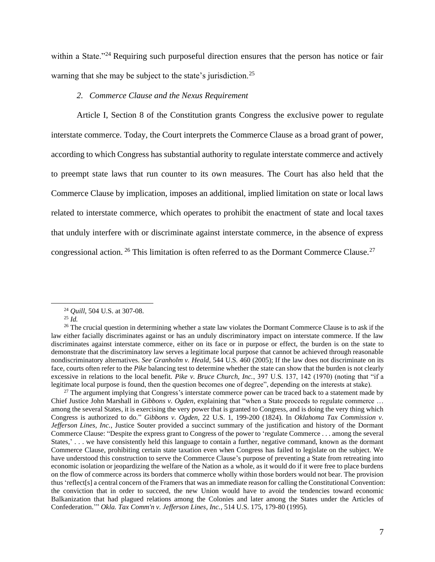within a State."<sup>24</sup> Requiring such purposeful direction ensures that the person has notice or fair warning that she may be subject to the state's jurisdiction.<sup>25</sup>

# *2. Commerce Clause and the Nexus Requirement*

Article I, Section 8 of the Constitution grants Congress the exclusive power to regulate interstate commerce. Today, the Court interprets the Commerce Clause as a broad grant of power, according to which Congress has substantial authority to regulate interstate commerce and actively to preempt state laws that run counter to its own measures. The Court has also held that the Commerce Clause by implication, imposes an additional, implied limitation on state or local laws related to interstate commerce, which operates to prohibit the enactment of state and local taxes that unduly interfere with or discriminate against interstate commerce, in the absence of express congressional action. <sup>26</sup> This limitation is often referred to as the Dormant Commerce Clause.<sup>27</sup>

<sup>24</sup> *Quill*, 504 U.S. at 307-08.

<sup>25</sup> *Id.*

<sup>&</sup>lt;sup>26</sup> The crucial question in determining whether a state law violates the Dormant Commerce Clause is to ask if the law either facially discriminates against or has an unduly discriminatory impact on interstate commerce. If the law discriminates against interstate commerce, either on its face or in purpose or effect, the burden is on the state to demonstrate that the discriminatory law serves a legitimate local purpose that cannot be achieved through reasonable nondiscriminatory alternatives. *See Granholm v. Heald*, 544 U.S. 460 (2005); If the law does not discriminate on its face, courts often refer to the *Pike* balancing test to determine whether the state can show that the burden is not clearly excessive in relations to the local benefit. *Pike v. Bruce Church, Inc.*, 397 U.S. 137, 142 (1970) (noting that "if a legitimate local purpose is found, then the question becomes one of degree", depending on the interests at stake).

 $27$  The argument implying that Congress's interstate commerce power can be traced back to a statement made by Chief Justice John Marshall in *Gibbons v. Ogden*, explaining that "when a State proceeds to regulate commerce … among the several States, it is exercising the very power that is granted to Congress, and is doing the very thing which Congress is authorized to do." *Gibbons v. Ogden*, 22 U.S. 1, 199-200 (1824). In *Oklahoma Tax Commission v. Jefferson Lines, Inc.*, Justice Souter provided a succinct summary of the justification and history of the Dormant Commerce Clause: "Despite the express grant to Congress of the power to 'regulate Commerce . . . among the several States,' . . . we have consistently held this language to contain a further, negative command, known as the dormant Commerce Clause, prohibiting certain state taxation even when Congress has failed to legislate on the subject. We have understood this construction to serve the Commerce Clause's purpose of preventing a State from retreating into economic isolation or jeopardizing the welfare of the Nation as a whole, as it would do if it were free to place burdens on the flow of commerce across its borders that commerce wholly within those borders would not bear. The provision thus 'reflect[s] a central concern of the Framers that was an immediate reason for calling the Constitutional Convention: the conviction that in order to succeed, the new Union would have to avoid the tendencies toward economic Balkanization that had plagued relations among the Colonies and later among the States under the Articles of Confederation.'" *Okla. Tax Comm'n v. Jefferson Lines, Inc.*, 514 U.S. 175, 179-80 (1995).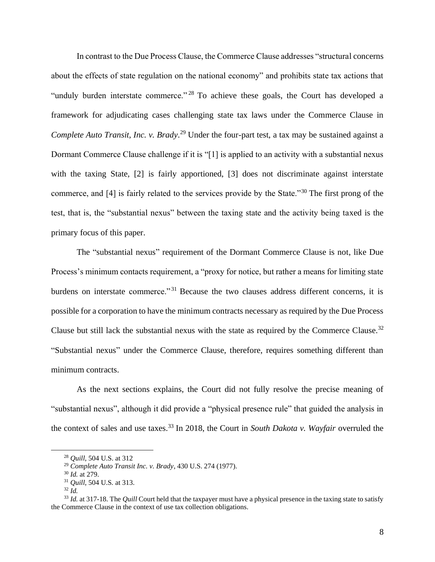In contrast to the Due Process Clause, the Commerce Clause addresses "structural concerns about the effects of state regulation on the national economy" and prohibits state tax actions that "unduly burden interstate commerce."<sup>28</sup> To achieve these goals, the Court has developed a framework for adjudicating cases challenging state tax laws under the Commerce Clause in *Complete Auto Transit, Inc. v. Brady*. <sup>29</sup> Under the four-part test, a tax may be sustained against a Dormant Commerce Clause challenge if it is "[1] is applied to an activity with a substantial nexus with the taxing State, [2] is fairly apportioned, [3] does not discriminate against interstate commerce, and [4] is fairly related to the services provide by the State."<sup>30</sup> The first prong of the test, that is, the "substantial nexus" between the taxing state and the activity being taxed is the primary focus of this paper.

The "substantial nexus" requirement of the Dormant Commerce Clause is not, like Due Process's minimum contacts requirement, a "proxy for notice, but rather a means for limiting state burdens on interstate commerce."<sup>31</sup> Because the two clauses address different concerns, it is possible for a corporation to have the minimum contracts necessary as required by the Due Process Clause but still lack the substantial nexus with the state as required by the Commerce Clause.<sup>32</sup> "Substantial nexus" under the Commerce Clause, therefore, requires something different than minimum contracts.

As the next sections explains, the Court did not fully resolve the precise meaning of "substantial nexus", although it did provide a "physical presence rule" that guided the analysis in the context of sales and use taxes.<sup>33</sup> In 2018, the Court in *South Dakota v. Wayfair* overruled the

<sup>28</sup> *Quill*, 504 U.S. at 312

<sup>29</sup> *Complete Auto Transit Inc. v. Brady*, 430 U.S. 274 (1977).

<sup>30</sup> *Id.* at 279.

<sup>31</sup> *Quill*, 504 U.S*.* at 313.

 $32 \tilde{I}$ d.

<sup>&</sup>lt;sup>33</sup> *Id.* at 317-18. The *Quill* Court held that the taxpayer must have a physical presence in the taxing state to satisfy the Commerce Clause in the context of use tax collection obligations.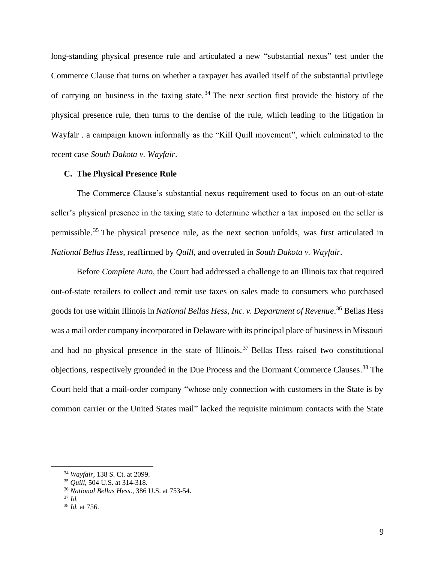long-standing physical presence rule and articulated a new "substantial nexus" test under the Commerce Clause that turns on whether a taxpayer has availed itself of the substantial privilege of carrying on business in the taxing state.<sup>34</sup> The next section first provide the history of the physical presence rule, then turns to the demise of the rule, which leading to the litigation in Wayfair . a campaign known informally as the "Kill Quill movement", which culminated to the recent case *South Dakota v. Wayfair*.

#### **C. The Physical Presence Rule**

The Commerce Clause's substantial nexus requirement used to focus on an out-of-state seller's physical presence in the taxing state to determine whether a tax imposed on the seller is permissible.<sup>35</sup> The physical presence rule, as the next section unfolds, was first articulated in *National Bellas Hess*, reaffirmed by *Quill*, and overruled in *South Dakota v. Wayfair*.

Before *Complete Auto*, the Court had addressed a challenge to an Illinois tax that required out-of-state retailers to collect and remit use taxes on sales made to consumers who purchased goods for use within Illinois in *National Bellas Hess, Inc. v. Department of Revenue*. <sup>36</sup> Bellas Hess was a mail order company incorporated in Delaware with its principal place of business in Missouri and had no physical presence in the state of Illinois. <sup>37</sup> Bellas Hess raised two constitutional objections, respectively grounded in the Due Process and the Dormant Commerce Clauses. <sup>38</sup> The Court held that a mail-order company "whose only connection with customers in the State is by common carrier or the United States mail" lacked the requisite minimum contacts with the State

<sup>34</sup> *Wayfair*, 138 S. Ct. at 2099.

<sup>35</sup> *Quill*, 504 U.S. at 314-318.

<sup>36</sup> *National Bellas Hess.*, 386 U.S. at 753-54.

<sup>37</sup> *Id.* 

<sup>38</sup> *Id.* at 756.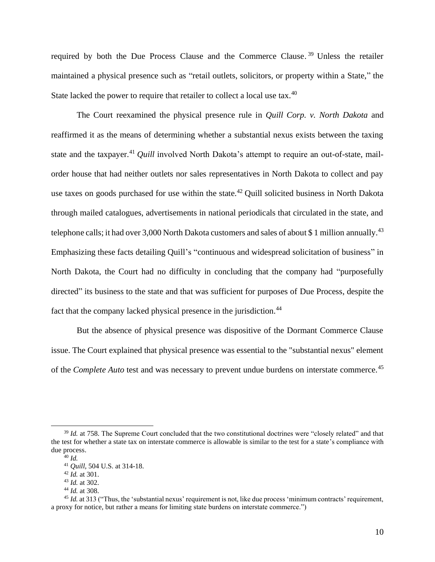required by both the Due Process Clause and the Commerce Clause.<sup>39</sup> Unless the retailer maintained a physical presence such as "retail outlets, solicitors, or property within a State," the State lacked the power to require that retailer to collect a local use tax.<sup>40</sup>

The Court reexamined the physical presence rule in *Quill Corp. v. North Dakota* and reaffirmed it as the means of determining whether a substantial nexus exists between the taxing state and the taxpayer.<sup>41</sup> *Quill* involved North Dakota's attempt to require an out-of-state, mailorder house that had neither outlets nor sales representatives in North Dakota to collect and pay use taxes on goods purchased for use within the state.<sup>42</sup> Quill solicited business in North Dakota through mailed catalogues, advertisements in national periodicals that circulated in the state, and telephone calls; it had over 3,000 North Dakota customers and sales of about \$1 million annually.<sup>43</sup> Emphasizing these facts detailing Quill's "continuous and widespread solicitation of business" in North Dakota, the Court had no difficulty in concluding that the company had "purposefully directed" its business to the state and that was sufficient for purposes of Due Process, despite the fact that the company lacked physical presence in the jurisdiction.<sup>44</sup>

But the absence of physical presence was dispositive of the Dormant Commerce Clause issue. The Court explained that physical presence was essential to the "substantial nexus" element of the *Complete Auto* test and was necessary to prevent undue burdens on interstate commerce.<sup>45</sup>

<sup>&</sup>lt;sup>39</sup> *Id.* at 758. The Supreme Court concluded that the two constitutional doctrines were "closely related" and that the test for whether a state tax on interstate commerce is allowable is similar to the test for a state's compliance with due process.

<sup>40</sup> *Id.* 

<sup>41</sup> *Quill*, 504 U.S. at 314-18.

<sup>42</sup> *Id.* at 301.

<sup>43</sup> *Id.* at 302.

<sup>44</sup> *Id.* at 308.

<sup>&</sup>lt;sup>45</sup> *Id.* at 313 ("Thus, the 'substantial nexus' requirement is not, like due process 'minimum contracts' requirement, a proxy for notice, but rather a means for limiting state burdens on interstate commerce.")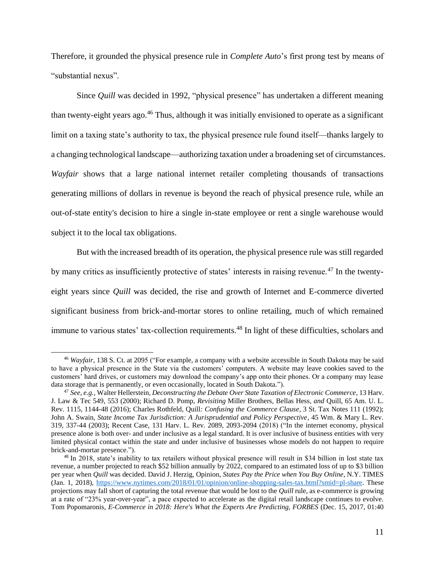Therefore, it grounded the physical presence rule in *Complete Auto*'s first prong test by means of "substantial nexus".

Since *Quill* was decided in 1992, "physical presence" has undertaken a different meaning than twenty-eight years ago.<sup>46</sup> Thus, although it was initially envisioned to operate as a significant limit on a taxing state's authority to tax, the physical presence rule found itself—thanks largely to a changing technological landscape—authorizing taxation under a broadening set of circumstances. *Wayfair* shows that a large national internet retailer completing thousands of transactions generating millions of dollars in revenue is beyond the reach of physical presence rule, while an out-of-state entity's decision to hire a single in-state employee or rent a single warehouse would subject it to the local tax obligations.

But with the increased breadth of its operation, the physical presence rule was still regarded by many critics as insufficiently protective of states' interests in raising revenue.<sup>47</sup> In the twentyeight years since *Quill* was decided, the rise and growth of Internet and E-commerce diverted significant business from brick-and-mortar stores to online retailing, much of which remained immune to various states' tax-collection requirements.<sup>48</sup> In light of these difficulties, scholars and

<sup>46</sup> *Wayfair*, 138 S. Ct. at 2095 ("For example, a company with a website accessible in South Dakota may be said to have a physical presence in the State via the customers' computers. A website may leave cookies saved to the customers' hard drives, or customers may download the company's app onto their phones. Or a company may lease data storage that is permanently, or even occasionally, located in South Dakota.").

<sup>47</sup> *See, e.g.*, Walter Hellerstein, *Deconstructing the Debate Over State Taxation of Electronic Commerce*, 13 Harv. J. Law & Tec 549, 553 (2000); Richard D. Pomp, *Revisiting* Miller Brothers*,* Bellas Hess*, and* Quill, 65 Am. U. L. Rev. 1115, 1144-48 (2016); Charles Rothfeld*,* Quill*: Confusing the Commerce Clause*, 3 St. Tax Notes 111 (1992); John A. Swain, *State Income Tax Jurisdiction: A Jurisprudential and Policy Perspective*, 45 Wm. & Mary L. Rev. 319, 337-44 (2003); Recent Case, 131 Harv. L. Rev. 2089, 2093-2094 (2018) ("In the internet economy, physical presence alone is both over- and under inclusive as a legal standard. It is over inclusive of business entities with very limited physical contact within the state and under inclusive of businesses whose models do not happen to require brick-and-mortar presence.").

<sup>&</sup>lt;sup>48</sup> In 2018, state's inability to tax retailers without physical presence will result in \$34 billion in lost state tax revenue, a number projected to reach \$52 billion annually by 2022, compared to an estimated loss of up to \$3 billion per year when *Quill* was decided. David J. Herzig, Opinion, *States Pay the Price when You Buy Online*, N.Y. TIMES (Jan. 1, 2018), [https://www.nytimes.com/2018/01/01/opinion/online-shopping-sales-tax.html?smid=pl-share.](https://www.nytimes.com/2018/01/01/opinion/online-shopping-sales-tax.html?smid=pl-share) These projections may fall short of capturing the total revenue that would be lost to the *Quill* rule, as e-commerce is growing at a rate of "23% year-over-year", a pace expected to accelerate as the digital retail landscape continues to evolve. Tom Popomaronis, *E-Commerce in 2018: Here's What the Experts Are Predicting, FORBES* (Dec. 15, 2017, 01:40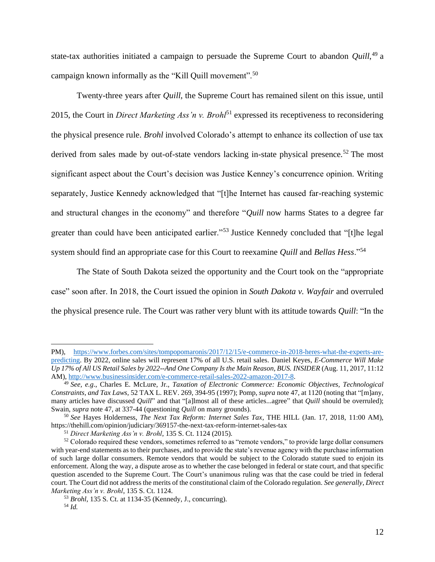state-tax authorities initiated a campaign to persuade the Supreme Court to abandon *Quill*, <sup>49</sup> a campaign known informally as the "Kill Quill movement".<sup>50</sup>

Twenty-three years after *Quill*, the Supreme Court has remained silent on this issue, until 2015, the Court in *Direct Marketing Ass'n v. Brohl*<sup>51</sup> expressed its receptiveness to reconsidering the physical presence rule. *Brohl* involved Colorado's attempt to enhance its collection of use tax derived from sales made by out-of-state vendors lacking in-state physical presence.<sup>52</sup> The most significant aspect about the Court's decision was Justice Kenney's concurrence opinion. Writing separately, Justice Kennedy acknowledged that "[t]he Internet has caused far-reaching systemic and structural changes in the economy" and therefore "*Quill* now harms States to a degree far greater than could have been anticipated earlier."<sup>53</sup> Justice Kennedy concluded that "[t]he legal system should find an appropriate case for this Court to reexamine *Quill* and *Bellas Hess*."<sup>54</sup>

The State of South Dakota seized the opportunity and the Court took on the "appropriate case" soon after. In 2018, the Court issued the opinion in *South Dakota v. Wayfair* and overruled the physical presence rule. The Court was rather very blunt with its attitude towards *Quill*: "In the

PM), [https://www.forbes.com/sites/tompopomaronis/2017/12/15/e-commerce-in-2018-heres-what-the-experts-are](https://www.forbes.com/sites/tompopomaronis/2017/12/15/e-commerce-in-2018-heres-what-the-experts-are-predicting)[predicting.](https://www.forbes.com/sites/tompopomaronis/2017/12/15/e-commerce-in-2018-heres-what-the-experts-are-predicting) By 2022, online sales will represent 17% of all U.S. retail sales. Daniel Keyes, *E-Commerce Will Make Up 17% of All US Retail Sales by 2022--And One Company Is the Main Reason, BUS. INSIDER* (Aug. 11, 2017, 11:12 AM)[, http://www.businessinsider.com/e-commerce-retail-sales-2022-amazon-2017-8.](http://www.businessinsider.com/e-commerce-retail-sales-2022-amazon-2017-8)

<sup>49</sup> *See, e.g*., Charles E. McLure, Jr., *Taxation of Electronic Commerce: Economic Objectives, Technological Constraints, and Tax Laws,* 52 TAX L. REV. 269, 394-95 (1997); Pomp, *supra* note 47, at 1120 (noting that "[m]any, many articles have discussed *Quill*" and that "[a]lmost all of these articles...agree" that *Quill* should be overruled); Swain, *supra* note 47, at 337-44 (questioning *Quill* on many grounds).

<sup>50</sup> *See* Hayes Holderness, *The Next Tax Reform: Internet Sales Tax*, THE HILL (Jan. 17, 2018, 11:00 AM), https://thehill.com/opinion/judiciary/369157-the-next-tax-reform-internet-sales-tax

<sup>51</sup> *Direct Marketing Ass'n v. Brohl*, 135 S. Ct. 1124 (2015).

 $52$  Colorado required these vendors, sometimes referred to as "remote vendors," to provide large dollar consumers with year-end statements as to their purchases, and to provide the state's revenue agency with the purchase information of such large dollar consumers. Remote vendors that would be subject to the Colorado statute sued to enjoin its enforcement. Along the way, a dispute arose as to whether the case belonged in federal or state court, and that specific question ascended to the Supreme Court. The Court's unanimous ruling was that the case could be tried in federal court. The Court did not address the merits of the constitutional claim of the Colorado regulation. *See generally*, *Direct Marketing Ass'n v. Brohl*, 135 S. Ct. 1124.

<sup>53</sup> *Brohl*, 135 S. Ct. at 1134-35 (Kennedy, J., concurring). <sup>54</sup> *Id.*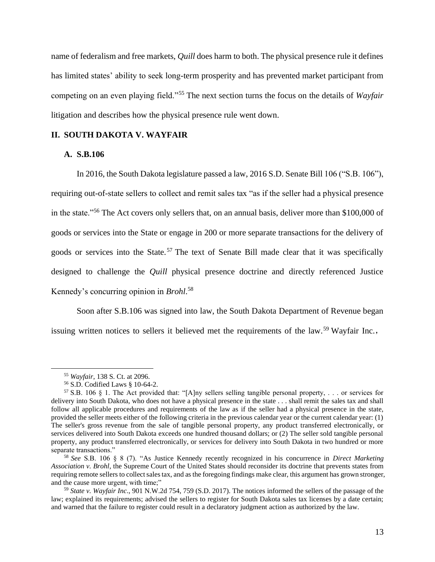name of federalism and free markets, *Quill* does harm to both. The physical presence rule it defines has limited states' ability to seek long-term prosperity and has prevented market participant from competing on an even playing field."<sup>55</sup> The next section turns the focus on the details of *Wayfair*  litigation and describes how the physical presence rule went down.

## **II. SOUTH DAKOTA V. WAYFAIR**

## **A. S.B.106**

In 2016, the South Dakota legislature passed a law, 2016 S.D. Senate Bill 106 ("S.B. 106"), requiring out-of-state sellers to collect and remit sales tax "as if the seller had a physical presence in the state."<sup>56</sup> The Act covers only sellers that, on an annual basis, deliver more than \$100,000 of goods or services into the State or engage in 200 or more separate transactions for the delivery of goods or services into the State.<sup>57</sup> The text of Senate Bill made clear that it was specifically designed to challenge the *Quill* physical presence doctrine and directly referenced Justice Kennedy's concurring opinion in *Brohl*. 58

Soon after S.B.106 was signed into law, the South Dakota Department of Revenue began issuing written notices to sellers it believed met the requirements of the law.<sup>59</sup> Wayfair Inc.,

<sup>55</sup> *Wayfair*, 138 S. Ct. at 2096.

<sup>56</sup> S.D. Codified Laws § 10-64-2.

<sup>&</sup>lt;sup>57</sup> S.B. 106 § 1. The Act provided that: "[A]ny sellers selling tangible personal property, ... or services for delivery into South Dakota, who does not have a physical presence in the state . . . shall remit the sales tax and shall follow all applicable procedures and requirements of the law as if the seller had a physical presence in the state, provided the seller meets either of the following criteria in the previous calendar year or the current calendar year: (1) The seller's gross revenue from the sale of tangible personal property, any product transferred electronically, or services delivered into South Dakota exceeds one hundred thousand dollars; or (2) The seller sold tangible personal property, any product transferred electronically, or services for delivery into South Dakota in two hundred or more separate transactions."

<sup>58</sup> *See* S.B. 106 § 8 (7). "As Justice Kennedy recently recognized in his concurrence in *Direct Marketing Association v. Brohl*, the Supreme Court of the United States should reconsider its doctrine that prevents states from requiring remote sellers to collect sales tax, and as the foregoing findings make clear, this argument has grown stronger, and the cause more urgent, with time;"

<sup>59</sup> *State v. Wayfair Inc*., 901 N.W.2d 754, 759 (S.D. 2017). The notices informed the sellers of the passage of the law; explained its requirements; advised the sellers to register for South Dakota sales tax licenses by a date certain; and warned that the failure to register could result in a declaratory judgment action as authorized by the law.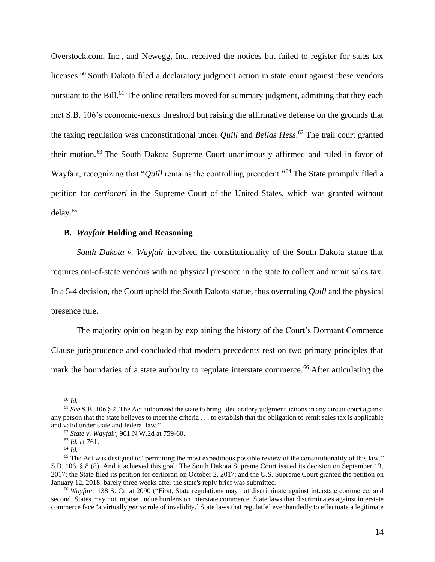Overstock.com, Inc., and Newegg, Inc. received the notices but failed to register for sales tax licenses.<sup>60</sup> South Dakota filed a declaratory judgment action in state court against these vendors pursuant to the Bill.<sup>61</sup> The online retailers moved for summary judgment, admitting that they each met S.B. 106's economic-nexus threshold but raising the affirmative defense on the grounds that the taxing regulation was unconstitutional under *Quill* and *Bellas Hess*. <sup>62</sup> The trail court granted their motion.<sup>63</sup> The South Dakota Supreme Court unanimously affirmed and ruled in favor of Wayfair, recognizing that "*Quill* remains the controlling precedent."<sup>64</sup> The State promptly filed a petition for *certiorari* in the Supreme Court of the United States, which was granted without delay.<sup>65</sup>

#### **B.** *Wayfair* **Holding and Reasoning**

*South Dakota v. Wayfair* involved the constitutionality of the South Dakota statue that requires out-of-state vendors with no physical presence in the state to collect and remit sales tax. In a 5-4 decision, the Court upheld the South Dakota statue, thus overruling *Quill* and the physical presence rule.

The majority opinion began by explaining the history of the Court's Dormant Commerce Clause jurisprudence and concluded that modern precedents rest on two primary principles that mark the boundaries of a state authority to regulate interstate commerce.<sup>66</sup> After articulating the

<sup>60</sup> *Id.*

<sup>61</sup> *See*S.B. 106 § 2. The Act authorized the state to bring "declaratory judgment actions in any circuit court against any person that the state believes to meet the criteria . . . to establish that the obligation to remit sales tax is applicable and valid under state and federal law."

<sup>62</sup> *State v. Wayfair*, 901 N.W.2d at 759-60.

<sup>63</sup> *Id.* at 761.

<sup>64</sup> *Id.*

 $65$  The Act was designed to "permitting the most expeditious possible review of the constitutionality of this law." S.B. 106*.* § 8 (8). And it achieved this goal: The South Dakota Supreme Court issued its decision on September 13, 2017; the State filed its petition for certiorari on October 2, 2017; and the U.S. Supreme Court granted the petition on January 12, 2018, barely three weeks after the state's reply brief was submitted.

<sup>66</sup> *Wayfair*, 138 S. Ct. at 2090 ("First, State regulations may not discriminate against interstate commerce; and second, States may not impose undue burdens on interstate commerce. State laws that discriminates against interstate commerce face 'a virtually *per se* rule of invalidity.' State laws that regulat[e] evenhandedly to effectuate a legitimate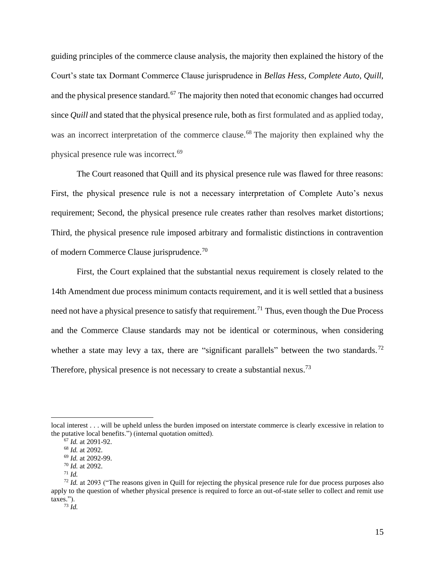guiding principles of the commerce clause analysis, the majority then explained the history of the Court's state tax Dormant Commerce Clause jurisprudence in *Bellas Hess*, *Complete Auto*, *Quill*, and the physical presence standard.<sup>67</sup> The majority then noted that economic changes had occurred since *Quill* and stated that the physical presence rule, both as first formulated and as applied today, was an incorrect interpretation of the commerce clause.<sup>68</sup> The majority then explained why the physical presence rule was incorrect.<sup>69</sup>

The Court reasoned that Quill and its physical presence rule was flawed for three reasons: First, the physical presence rule is not a necessary interpretation of Complete Auto's nexus requirement; Second, the physical presence rule creates rather than resolves market distortions; Third, the physical presence rule imposed arbitrary and formalistic distinctions in contravention of modern Commerce Clause jurisprudence.<sup>70</sup>

First, the Court explained that the substantial nexus requirement is closely related to the 14th Amendment due process minimum contacts requirement, and it is well settled that a business need not have a physical presence to satisfy that requirement.<sup>71</sup> Thus, even though the Due Process and the Commerce Clause standards may not be identical or coterminous, when considering whether a state may levy a tax, there are "significant parallels" between the two standards.<sup>72</sup> Therefore, physical presence is not necessary to create a substantial nexus.<sup>73</sup>

local interest . . . will be upheld unless the burden imposed on interstate commerce is clearly excessive in relation to the putative local benefits.") (internal quotation omitted).

<sup>67</sup> *Id.* at 2091-92.

<sup>68</sup> *Id.* at 2092.

<sup>69</sup> *Id.* at 2092-99.

<sup>70</sup> *Id.* at 2092.

<sup>71</sup> *Id.*

<sup>72</sup> *Id.* at 2093 ("The reasons given in Quill for rejecting the physical presence rule for due process purposes also apply to the question of whether physical presence is required to force an out-of-state seller to collect and remit use taxes.").

<sup>73</sup> *Id.*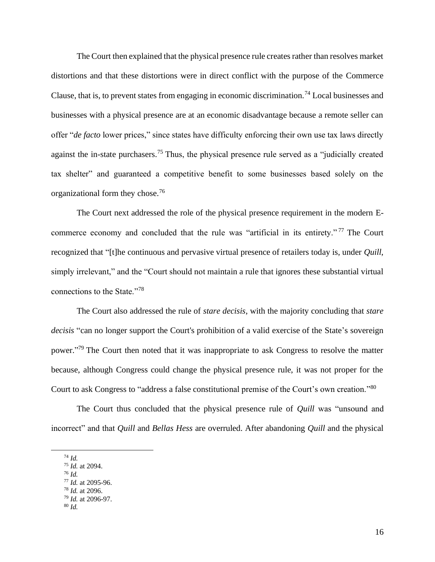The Court then explained that the physical presence rule creates rather than resolves market distortions and that these distortions were in direct conflict with the purpose of the Commerce Clause, that is, to prevent states from engaging in economic discrimination.<sup>74</sup> Local businesses and businesses with a physical presence are at an economic disadvantage because a remote seller can offer "*de facto* lower prices," since states have difficulty enforcing their own use tax laws directly against the in-state purchasers.<sup>75</sup> Thus, the physical presence rule served as a "judicially created tax shelter" and guaranteed a competitive benefit to some businesses based solely on the organizational form they chose.<sup>76</sup>

The Court next addressed the role of the physical presence requirement in the modern Ecommerce economy and concluded that the rule was "artificial in its entirety."<sup>77</sup> The Court recognized that "[t]he continuous and pervasive virtual presence of retailers today is, under *Quill*, simply irrelevant," and the "Court should not maintain a rule that ignores these substantial virtual connections to the State."<sup>78</sup>

The Court also addressed the rule of *stare decisis*, with the majority concluding that *stare decisis* "can no longer support the Court's prohibition of a valid exercise of the State's sovereign power."<sup>79</sup> The Court then noted that it was inappropriate to ask Congress to resolve the matter because, although Congress could change the physical presence rule, it was not proper for the Court to ask Congress to "address a false constitutional premise of the Court's own creation."80

The Court thus concluded that the physical presence rule of *Quill* was "unsound and incorrect" and that *Quill* and *Bellas Hess* are overruled. After abandoning *Quill* and the physical

- <sup>75</sup> *Id.* at 2094.
- <sup>76</sup> *Id.*
- <sup>77</sup> *Id.* at 2095-96.

<sup>79</sup> *Id.* at 2096-97.

<sup>74</sup> *Id.*

<sup>78</sup> *Id.* at 2096.

<sup>80</sup> *Id.*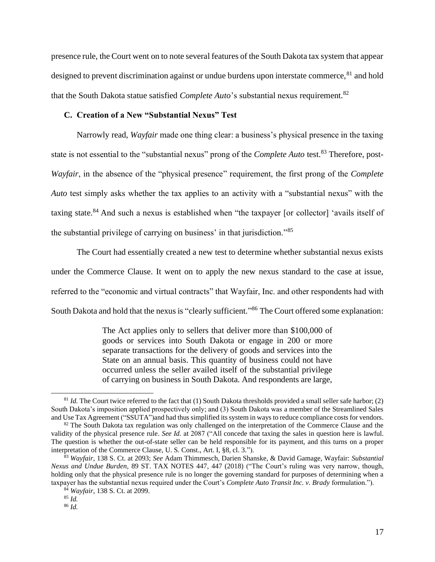presence rule, the Court went on to note several features of the South Dakota tax system that appear designed to prevent discrimination against or undue burdens upon interstate commerce, <sup>81</sup> and hold that the South Dakota statue satisfied *Complete Auto*'s substantial nexus requirement.<sup>82</sup>

# **C. Creation of a New "Substantial Nexus" Test**

Narrowly read, *Wayfair* made one thing clear: a business's physical presence in the taxing state is not essential to the "substantial nexus" prong of the *Complete Auto* test.<sup>83</sup> Therefore, post-*Wayfair*, in the absence of the "physical presence" requirement, the first prong of the *Complete Auto* test simply asks whether the tax applies to an activity with a "substantial nexus" with the taxing state.<sup>84</sup> And such a nexus is established when "the taxpayer [or collector] 'avails itself of the substantial privilege of carrying on business' in that jurisdiction."<sup>85</sup>

The Court had essentially created a new test to determine whether substantial nexus exists under the Commerce Clause. It went on to apply the new nexus standard to the case at issue, referred to the "economic and virtual contracts" that Wayfair, Inc. and other respondents had with South Dakota and hold that the nexus is "clearly sufficient."<sup>86</sup> The Court offered some explanation:

> The Act applies only to sellers that deliver more than \$100,000 of goods or services into South Dakota or engage in 200 or more separate transactions for the delivery of goods and services into the State on an annual basis. This quantity of business could not have occurred unless the seller availed itself of the substantial privilege of carrying on business in South Dakota. And respondents are large,

 $81$  *Id.* The Court twice referred to the fact that (1) South Dakota thresholds provided a small seller safe harbor; (2) South Dakota's imposition applied prospectively only; and (3) South Dakota was a member of the Streamlined Sales and Use Tax Agreement ("SSUTA")and had thus simplified its system in ways to reduce compliance costs for vendors.

 $82$  The South Dakota tax regulation was only challenged on the interpretation of the Commerce Clause and the validity of the physical presence rule. *See Id.* at 2087 ("All concede that taxing the sales in question here is lawful. The question is whether the out-of-state seller can be held responsible for its payment, and this turns on a proper interpretation of the Commerce Clause, U. S. Const., Art. I, §8, cl. 3.").

<sup>83</sup> *Wayfair*, 138 S. Ct. at 2093; *See* Adam Thimmesch, Darien Shanske, & David Gamage, Wayfair: *Substantial Nexus and Undue Burden*, 89 ST. TAX NOTES 447, 447 (2018) ("The Court's ruling was very narrow, though, holding only that the physical presence rule is no longer the governing standard for purposes of determining when a taxpayer has the substantial nexus required under the Court's *Complete Auto Transit Inc. v. Brady* formulation.").

<sup>84</sup> *Wayfair*, 138 S. Ct. at 2099.

<sup>85</sup> *Id.*

<sup>86</sup> *Id.*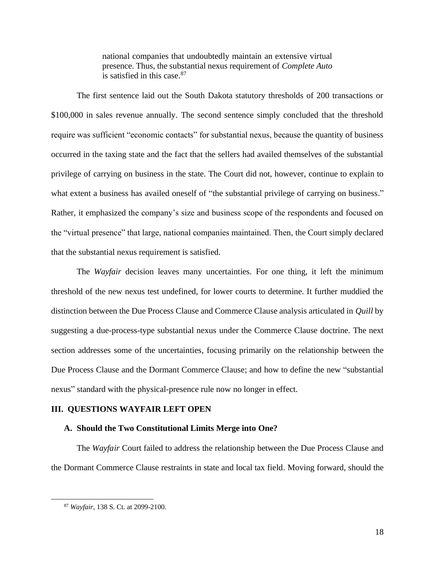national companies that undoubtedly maintain an extensive virtual presence. Thus, the substantial nexus requirement of *Complete Auto* is satisfied in this case.<sup>87</sup>

The first sentence laid out the South Dakota statutory thresholds of 200 transactions or \$100,000 in sales revenue annually. The second sentence simply concluded that the threshold require was sufficient "economic contacts" for substantial nexus, because the quantity of business occurred in the taxing state and the fact that the sellers had availed themselves of the substantial privilege of carrying on business in the state. The Court did not, however, continue to explain to what extent a business has availed oneself of "the substantial privilege of carrying on business." Rather, it emphasized the company's size and business scope of the respondents and focused on the "virtual presence" that large, national companies maintained. Then, the Court simply declared that the substantial nexus requirement is satisfied.

The *Wayfair* decision leaves many uncertainties. For one thing, it left the minimum threshold of the new nexus test undefined, for lower courts to determine. It further muddied the distinction between the Due Process Clause and Commerce Clause analysis articulated in *Quill* by suggesting a due-process-type substantial nexus under the Commerce Clause doctrine. The next section addresses some of the uncertainties, focusing primarily on the relationship between the Due Process Clause and the Dormant Commerce Clause; and how to define the new "substantial nexus" standard with the physical-presence rule now no longer in effect.

#### **III. QUESTIONS WAYFAIR LEFT OPEN**

#### **A. Should the Two Constitutional Limits Merge into One?**

The *Wayfair* Court failed to address the relationship between the Due Process Clause and the Dormant Commerce Clause restraints in state and local tax field. Moving forward, should the

<sup>87</sup> *Wayfair*, 138 S. Ct. at 2099-2100.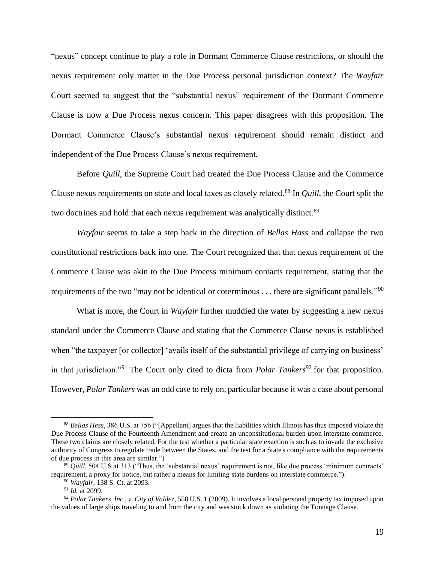"nexus" concept continue to play a role in Dormant Commerce Clause restrictions, or should the nexus requirement only matter in the Due Process personal jurisdiction context? The *Wayfair* Court seemed to suggest that the "substantial nexus" requirement of the Dormant Commerce Clause is now a Due Process nexus concern. This paper disagrees with this proposition. The Dormant Commerce Clause's substantial nexus requirement should remain distinct and independent of the Due Process Clause's nexus requirement.

Before *Quill*, the Supreme Court had treated the Due Process Clause and the Commerce Clause nexus requirements on state and local taxes as closely related. <sup>88</sup> In *Quill*, the Court split the two doctrines and hold that each nexus requirement was analytically distinct.<sup>89</sup>

*Wayfair* seems to take a step back in the direction of *Bellas Hass* and collapse the two constitutional restrictions back into one. The Court recognized that that nexus requirement of the Commerce Clause was akin to the Due Process minimum contacts requirement, stating that the requirements of the two "may not be identical or coterminous . . . there are significant parallels."<sup>90</sup>

What is more, the Court in *Wayfair* further muddied the water by suggesting a new nexus standard under the Commerce Clause and stating that the Commerce Clause nexus is established when "the taxpayer [or collector] 'avails itself of the substantial privilege of carrying on business' in that jurisdiction."<sup>91</sup> The Court only cited to dicta from *Polar Tankers*<sup>92</sup> for that proposition. However, *Polar Tankers* was an odd case to rely on, particular because it was a case about personal

<sup>88</sup> *Bellas Hess*, 386 U.S. at 756 ("[Appellant] argues that the liabilities which Illinois has thus imposed violate the Due Process Clause of the Fourteenth Amendment and create an unconstitutional burden upon interstate commerce. These two claims are closely related. For the test whether a particular state exaction is such as to invade the exclusive authority of Congress to regulate trade between the States, and the test for a State's compliance with the requirements of due process in this area are similar.")

<sup>89</sup> *Quill*, 504 U.S at 313 ("Thus, the 'substantial nexus' requirement is not, like due process 'minimum contracts' requirement, a proxy for notice, but rather a means for limiting state burdens on interstate commerce.").

<sup>90</sup> *Wayfair*, 138 S. Ct. at 2093.

<sup>91</sup> *Id.* at 2099.

<sup>92</sup> *Polar Tankers, Inc., v. City of Valdez*, 558 U.S. 1 (2009). It involves a local personal property tax imposed upon the values of large ships traveling to and from the city and was stuck down as violating the Tonnage Clause.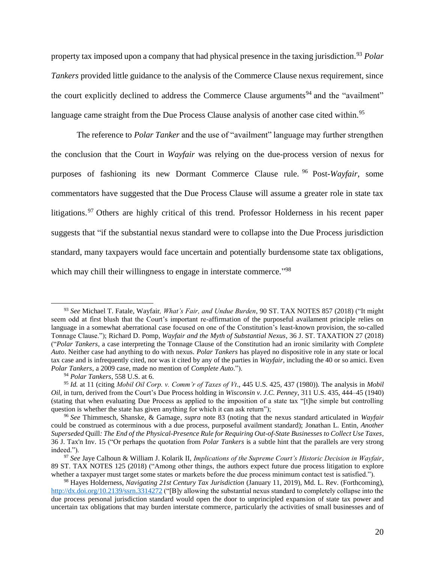property tax imposed upon a company that had physical presence in the taxing jurisdiction.<sup>93</sup> *Polar Tankers* provided little guidance to the analysis of the Commerce Clause nexus requirement, since the court explicitly declined to address the Commerce Clause arguments<sup>94</sup> and the "availment" language came straight from the Due Process Clause analysis of another case cited within.<sup>95</sup>

The reference to *Polar Tanker* and the use of "availment" language may further strengthen the conclusion that the Court in *Wayfair* was relying on the due-process version of nexus for purposes of fashioning its new Dormant Commerce Clause rule. <sup>96</sup> Post-*Wayfair*, some commentators have suggested that the Due Process Clause will assume a greater role in state tax litigations.<sup>97</sup> Others are highly critical of this trend. Professor Holderness in his recent paper suggests that "if the substantial nexus standard were to collapse into the Due Process jurisdiction standard, many taxpayers would face uncertain and potentially burdensome state tax obligations, which may chill their willingness to engage in interstate commerce."<sup>98</sup>

<sup>93</sup> *See* Michael T. Fatale, Wayfair*, What's Fair, and Undue Burden*, 90 ST. TAX NOTES 857 (2018) ("It might seem odd at first blush that the Court's important re-affirmation of the purposeful availament principle relies on language in a somewhat aberrational case focused on one of the Constitution's least-known provision, the so-called Tonnage Clause."); Richard D. Pomp*, Wayfair and the Myth of Substantial Nexus*, 36 J. ST. TAXATION 27 (2018) ("*Polar Tankers*, a case interpreting the Tonnage Clause of the Constitution had an ironic similarity with *Complete Auto*. Neither case had anything to do with nexus. *Polar Tankers* has played no dispositive role in any state or local tax case and is infrequently cited, nor was it cited by any of the parties in *Wayfair*, including the 40 or so amici. Even *Polar Tankers*, a 2009 case, made no mention of *Complete Auto*.").

<sup>94</sup> *Polar Tankers*, 558 U.S. at 6.

<sup>95</sup> *Id.* at 11 (citing *Mobil Oil Corp. v. Comm'r of Taxes of Vt*., 445 U.S. 425, 437 (1980)). The analysis in *Mobil Oil*, in turn, derived from the Court's Due Process holding in *Wisconsin v. J.C. Penney*, 311 U.S. 435, 444–45 (1940) (stating that when evaluating Due Process as applied to the imposition of a state tax "[t]he simple but controlling question is whether the state has given anything for which it can ask return");

<sup>96</sup> *See* Thimmesch, Shanske, & Gamage, *supra* note 83 (noting that the nexus standard articulated in *Wayfair* could be construed as coterminous with a due process, purposeful availment standard); Jonathan L. Entin, *Another Superseded* Quill*: The End of the Physical-Presence Rule for Requiring Out-of-State Businesses to Collect Use Taxes*, 36 J. Tax'n Inv. 15 ("Or perhaps the quotation from *Polar Tankers* is a subtle hint that the parallels are very strong indeed.").

<sup>97</sup> *See* Jaye Calhoun & William J. Kolarik II, *Implications of the Supreme Court's Historic Decision in Wayfair*, 89 ST. TAX NOTES 125 (2018) ("Among other things, the authors expect future due process litigation to explore whether a taxpayer must target some states or markets before the due process minimum contact test is satisfied.").

<sup>98</sup> Hayes Holderness, *Navigating 21st Century Tax Jurisdiction* (January 11, 2019), Md. L. Rev. (Forthcoming), <http://dx.doi.org/10.2139/ssrn.3314272> ("[B]y allowing the substantial nexus standard to completely collapse into the due process personal jurisdiction standard would open the door to unprincipled expansion of state tax power and uncertain tax obligations that may burden interstate commerce, particularly the activities of small businesses and of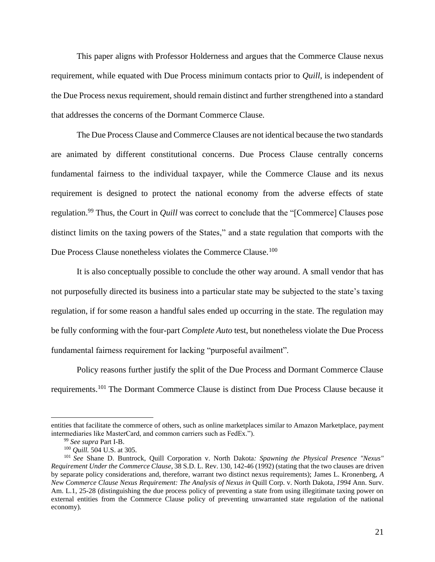This paper aligns with Professor Holderness and argues that the Commerce Clause nexus requirement, while equated with Due Process minimum contacts prior to *Quill*, is independent of the Due Process nexus requirement, should remain distinct and further strengthened into a standard that addresses the concerns of the Dormant Commerce Clause.

The Due Process Clause and Commerce Clauses are not identical because the two standards are animated by different constitutional concerns. Due Process Clause centrally concerns fundamental fairness to the individual taxpayer, while the Commerce Clause and its nexus requirement is designed to protect the national economy from the adverse effects of state regulation.<sup>99</sup> Thus, the Court in *Quill* was correct to conclude that the "[Commerce] Clauses pose distinct limits on the taxing powers of the States," and a state regulation that comports with the Due Process Clause nonetheless violates the Commerce Clause.<sup>100</sup>

It is also conceptually possible to conclude the other way around. A small vendor that has not purposefully directed its business into a particular state may be subjected to the state's taxing regulation, if for some reason a handful sales ended up occurring in the state. The regulation may be fully conforming with the four-part *Complete Auto* test, but nonetheless violate the Due Process fundamental fairness requirement for lacking "purposeful availment".

Policy reasons further justify the split of the Due Process and Dormant Commerce Clause requirements.<sup>101</sup> The Dormant Commerce Clause is distinct from Due Process Clause because it

entities that facilitate the commerce of others, such as online marketplaces similar to Amazon Marketplace, payment intermediaries like MasterCard, and common carriers such as FedEx.").

<sup>99</sup> *See supra* Part I-B.

<sup>100</sup> *Quill.* 504 U.S. at 305.

<sup>101</sup> *See* Shane D. Buntrock, Quill Corporation v. North Dakota*: Spawning the Physical Presence "Nexus" Requirement Under the Commerce Clause*, 38 S.D. L. Rev. 130, 142-46 (1992) (stating that the two clauses are driven by separate policy considerations and, therefore, warrant two distinct nexus requirements); James L. Kronenberg, *A New Commerce Clause Nexus Requirement: The Analysis of Nexus in* Quill Corp. v. North Dakota*, 1994* Ann. Surv. Am. L.1, 25-28 (distinguishing the due process policy of preventing a state from using illegitimate taxing power on external entities from the Commerce Clause policy of preventing unwarranted state regulation of the national economy).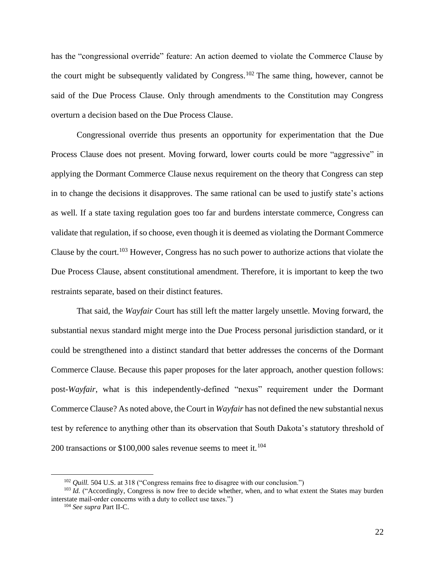has the "congressional override" feature: An action deemed to violate the Commerce Clause by the court might be subsequently validated by Congress.<sup>102</sup> The same thing, however, cannot be said of the Due Process Clause. Only through amendments to the Constitution may Congress overturn a decision based on the Due Process Clause.

Congressional override thus presents an opportunity for experimentation that the Due Process Clause does not present. Moving forward, lower courts could be more "aggressive" in applying the Dormant Commerce Clause nexus requirement on the theory that Congress can step in to change the decisions it disapproves. The same rational can be used to justify state's actions as well. If a state taxing regulation goes too far and burdens interstate commerce, Congress can validate that regulation, if so choose, even though it is deemed as violating the Dormant Commerce Clause by the court.<sup>103</sup> However, Congress has no such power to authorize actions that violate the Due Process Clause, absent constitutional amendment. Therefore, it is important to keep the two restraints separate, based on their distinct features.

That said, the *Wayfair* Court has still left the matter largely unsettle. Moving forward, the substantial nexus standard might merge into the Due Process personal jurisdiction standard, or it could be strengthened into a distinct standard that better addresses the concerns of the Dormant Commerce Clause. Because this paper proposes for the later approach, another question follows: post-*Wayfair*, what is this independently-defined "nexus" requirement under the Dormant Commerce Clause? As noted above, the Court in *Wayfair* has not defined the new substantial nexus test by reference to anything other than its observation that South Dakota's statutory threshold of 200 transactions or \$100,000 sales revenue seems to meet it.<sup>104</sup>

<sup>&</sup>lt;sup>102</sup> *Quill.* 504 U.S. at 318 ("Congress remains free to disagree with our conclusion.")

<sup>&</sup>lt;sup>103</sup> *Id.* ("Accordingly, Congress is now free to decide whether, when, and to what extent the States may burden interstate mail-order concerns with a duty to collect use taxes.")

<sup>104</sup> *See supra* Part II-C.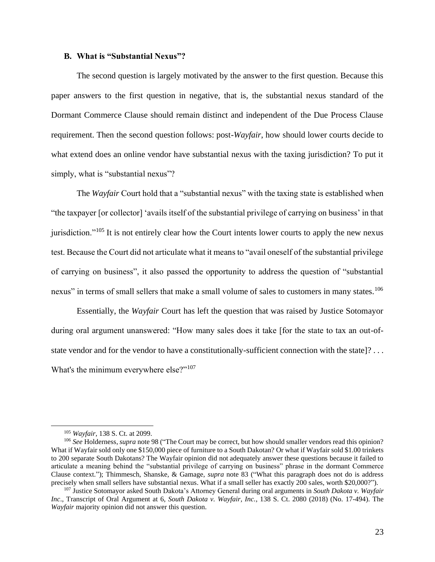#### **B. What is "Substantial Nexus"?**

The second question is largely motivated by the answer to the first question. Because this paper answers to the first question in negative, that is, the substantial nexus standard of the Dormant Commerce Clause should remain distinct and independent of the Due Process Clause requirement. Then the second question follows: post-*Wayfair*, how should lower courts decide to what extend does an online vendor have substantial nexus with the taxing jurisdiction? To put it simply, what is "substantial nexus"?

The *Wayfair* Court hold that a "substantial nexus" with the taxing state is established when "the taxpayer [or collector] 'avails itself of the substantial privilege of carrying on business' in that jurisdiction."<sup>105</sup> It is not entirely clear how the Court intents lower courts to apply the new nexus test. Because the Court did not articulate what it means to "avail oneself of the substantial privilege of carrying on business", it also passed the opportunity to address the question of "substantial nexus" in terms of small sellers that make a small volume of sales to customers in many states.<sup>106</sup>

Essentially, the *Wayfair* Court has left the question that was raised by Justice Sotomayor during oral argument unanswered: "How many sales does it take [for the state to tax an out-ofstate vendor and for the vendor to have a constitutionally-sufficient connection with the state]? . . . What's the minimum everywhere else?"<sup>107</sup>

<sup>105</sup> *Wayfair*, 138 S. Ct. at 2099.

<sup>&</sup>lt;sup>106</sup> See Holderness, *supra* note 98 ("The Court may be correct, but how should smaller vendors read this opinion? What if Wayfair sold only one \$150,000 piece of furniture to a South Dakotan? Or what if Wayfair sold \$1.00 trinkets to 200 separate South Dakotans? The Wayfair opinion did not adequately answer these questions because it failed to articulate a meaning behind the "substantial privilege of carrying on business" phrase in the dormant Commerce Clause context."); Thimmesch, Shanske, & Gamage, *supra* note 83 ("What this paragraph does not do is address precisely when small sellers have substantial nexus. What if a small seller has exactly 200 sales, worth \$20,000?").

<sup>107</sup> Justice Sotomayor asked South Dakota's Attorney General during oral arguments in *South Dakota v. Wayfair Inc*., Transcript of Oral Argument at 6, *South Dakota v. Wayfair, Inc.*, 138 S. Ct. 2080 (2018) (No. 17-494). The *Wayfair* majority opinion did not answer this question.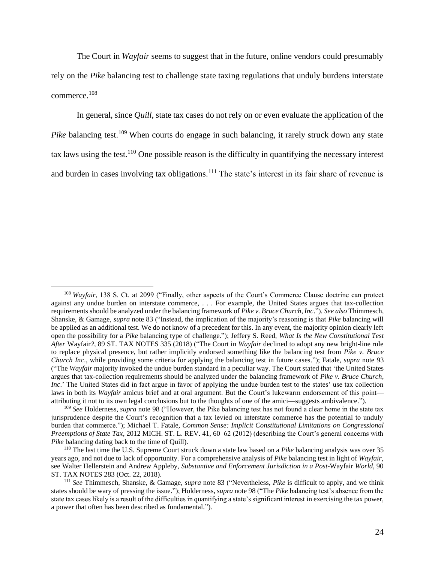The Court in *Wayfair* seems to suggest that in the future, online vendors could presumably rely on the *Pike* balancing test to challenge state taxing regulations that unduly burdens interstate commerce.<sup>108</sup>

In general, since *Quill*, state tax cases do not rely on or even evaluate the application of the *Pike* balancing test.<sup>109</sup> When courts do engage in such balancing, it rarely struck down any state tax laws using the test.<sup>110</sup> One possible reason is the difficulty in quantifying the necessary interest and burden in cases involving tax obligations.<sup>111</sup> The state's interest in its fair share of revenue is

<sup>108</sup> *Wayfair*, 138 S. Ct. at 2099 ("Finally, other aspects of the Court's Commerce Clause doctrine can protect against any undue burden on interstate commerce, . . . For example, the United States argues that tax-collection requirements should be analyzed under the balancing framework of *Pike v. Bruce Church, Inc*."). *See also* Thimmesch, Shanske, & Gamage, *supra* note 83 ("Instead, the implication of the majority's reasoning is that *Pike* balancing will be applied as an additional test. We do not know of a precedent for this. In any event, the majority opinion clearly left open the possibility for a *Pike* balancing type of challenge."); Jeffery S. Reed, *What Is the New Constitutional Test After* Wayfair*?*, 89 ST. TAX NOTES 335 (2018) ("The Court in *Wayfair* declined to adopt any new bright-line rule to replace physical presence, but rather implicitly endorsed something like the balancing test from *Pike v. Bruce Church Inc*., while providing some criteria for applying the balancing test in future cases."); Fatale, *supra* note 93 ("The *Wayfair* majority invoked the undue burden standard in a peculiar way. The Court stated that 'the United States argues that tax-collection requirements should be analyzed under the balancing framework of *Pike v. Bruce Church*, *Inc*.' The United States did in fact argue in favor of applying the undue burden test to the states' use tax collection laws in both its *Wayfair* amicus brief and at oral argument. But the Court's lukewarm endorsement of this point attributing it not to its own legal conclusions but to the thoughts of one of the amici—suggests ambivalence.").

<sup>109</sup> *See* Holderness, *supra* note 98 ("However, the Pike balancing test has not found a clear home in the state tax jurisprudence despite the Court's recognition that a tax levied on interstate commerce has the potential to unduly burden that commerce."); Michael T. Fatale, *Common Sense: Implicit Constitutional Limitations on Congressional Preemptions of State Tax*, 2012 MICH. ST. L. REV. 41, 60–62 (2012) (describing the Court's general concerns with *Pike* balancing dating back to the time of Quill).

<sup>110</sup> The last time the U.S. Supreme Court struck down a state law based on a *Pike* balancing analysis was over 35 years ago, and not due to lack of opportunity. For a comprehensive analysis of *Pike* balancing test in light of *Wayfair*, see Walter Hellerstein and Andrew Appleby, *Substantive and Enforcement Jurisdiction in a Post-*Wayfair *World*, 90 ST. TAX NOTES 283 (Oct. 22, 2018).

<sup>111</sup> *See* Thimmesch, Shanske, & Gamage, *supra* note 83 ("Nevertheless, *Pike* is difficult to apply, and we think states should be wary of pressing the issue."); Holderness, *supra* note 98 ("The *Pike* balancing test's absence from the state tax cases likely is a result of the difficulties in quantifying a state's significant interest in exercising the tax power, a power that often has been described as fundamental.").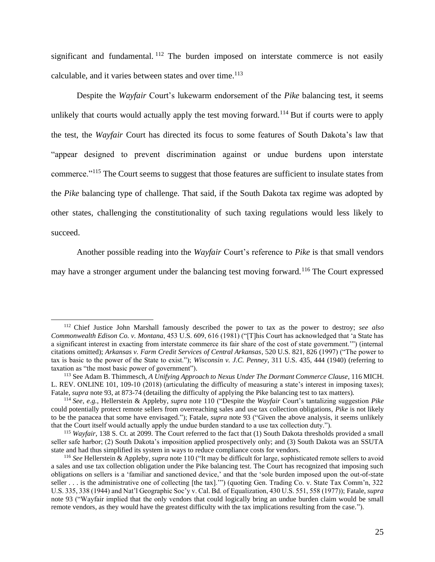significant and fundamental. <sup>112</sup> The burden imposed on interstate commerce is not easily calculable, and it varies between states and over time.<sup>113</sup>

Despite the *Wayfair* Court's lukewarm endorsement of the *Pike* balancing test, it seems unlikely that courts would actually apply the test moving forward.<sup>114</sup> But if courts were to apply the test, the *Wayfair* Court has directed its focus to some features of South Dakota's law that "appear designed to prevent discrimination against or undue burdens upon interstate commerce."<sup>115</sup> The Court seems to suggest that those features are sufficient to insulate states from the *Pike* balancing type of challenge. That said, if the South Dakota tax regime was adopted by other states, challenging the constitutionality of such taxing regulations would less likely to succeed.

Another possible reading into the *Wayfair* Court's reference to *Pike* is that small vendors

may have a stronger argument under the balancing test moving forward.<sup>116</sup> The Court expressed

<sup>112</sup> Chief Justice John Marshall famously described the power to tax as the power to destroy; *see also Commonwealth Edison Co. v. Montana*, 453 U.S. 609, 616 (1981) ("[T]his Court has acknowledged that 'a State has a significant interest in exacting from interstate commerce its fair share of the cost of state government.'") (internal citations omitted); *Arkansas v. Farm Credit Services of Central Arkansas*, 520 U.S. 821, 826 (1997) ("The power to tax is basic to the power of the State to exist."); *Wisconsin v. J.C. Penney*, 311 U.S. 435, 444 (1940) (referring to taxation as "the most basic power of government").

<sup>113</sup> See Adam B. Thimmesch, *A Unifying Approach to Nexus Under The Dormant Commerce Clause*, 116 MICH. L. REV. ONLINE 101, 109-10 (2018) (articulating the difficulty of measuring a state's interest in imposing taxes); Fatale, *supra* note 93, at 873-74 (detailing the difficulty of applying the Pike balancing test to tax matters).

<sup>114</sup> *See, e.g.*, Hellerstein & Appleby, *supra* note 110 ("Despite the *Wayfair* Court's tantalizing suggestion *Pike* could potentially protect remote sellers from overreaching sales and use tax collection obligations, *Pike* is not likely to be the panacea that some have envisaged."); Fatale, *supra* note 93 ("Given the above analysis, it seems unlikely that the Court itself would actually apply the undue burden standard to a use tax collection duty.").

<sup>115</sup> *Wayfair*, 138 S. Ct. at 2099. The Court referred to the fact that (1) South Dakota thresholds provided a small seller safe harbor; (2) South Dakota's imposition applied prospectively only; and (3) South Dakota was an SSUTA state and had thus simplified its system in ways to reduce compliance costs for vendors.

<sup>116</sup> *See* Hellerstein & Appleby, *supra* note 110 ("It may be difficult for large, sophisticated remote sellers to avoid a sales and use tax collection obligation under the Pike balancing test. The Court has recognized that imposing such obligations on sellers is a 'familiar and sanctioned device,' and that the 'sole burden imposed upon the out-of-state seller . . . is the administrative one of collecting [the tax].'") (quoting Gen. Trading Co. v. State Tax Comm'n, 322 U.S. 335, 338 (1944) and Nat'l Geographic Soc'y v. Cal. Bd. of Equalization, 430 U.S. 551, 558 (1977)); Fatale, *supra*  note 93 ("Wayfair implied that the only vendors that could logically bring an undue burden claim would be small remote vendors, as they would have the greatest difficulty with the tax implications resulting from the case.").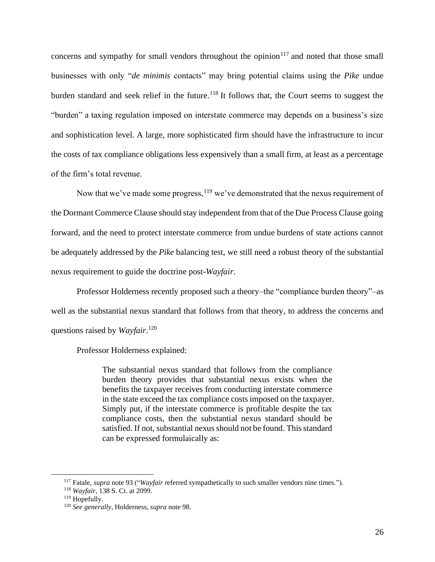concerns and sympathy for small vendors throughout the opinion<sup>117</sup> and noted that those small businesses with only "*de minimis* contacts" may bring potential claims using the *Pike* undue burden standard and seek relief in the future.<sup>118</sup> It follows that, the Court seems to suggest the "burden" a taxing regulation imposed on interstate commerce may depends on a business's size and sophistication level. A large, more sophisticated firm should have the infrastructure to incur the costs of tax compliance obligations less expensively than a small firm, at least as a percentage of the firm's total revenue.

Now that we've made some progress,  $^{119}$  we've demonstrated that the nexus requirement of the Dormant Commerce Clause should stay independent from that of the Due Process Clause going forward, and the need to protect interstate commerce from undue burdens of state actions cannot be adequately addressed by the *Pike* balancing test, we still need a robust theory of the substantial nexus requirement to guide the doctrine post-*Wayfair*.

Professor Holderness recently proposed such a theory–the "compliance burden theory"–as well as the substantial nexus standard that follows from that theory, to address the concerns and questions raised by *Wayfair*. 120

Professor Holderness explained:

The substantial nexus standard that follows from the compliance burden theory provides that substantial nexus exists when the benefits the taxpayer receives from conducting interstate commerce in the state exceed the tax compliance costs imposed on the taxpayer. Simply put, if the interstate commerce is profitable despite the tax compliance costs, then the substantial nexus standard should be satisfied. If not, substantial nexus should not be found. This standard can be expressed formulaically as:

<sup>117</sup> Fatale, *supra* note 93 ("*Wayfair* referred sympathetically to such smaller vendors nine times.").

<sup>118</sup> *Wayfair*, 138 S. Ct. at 2099.

<sup>119</sup> Hopefully.

<sup>120</sup> *See generally*, Holderness, *supra* note 98.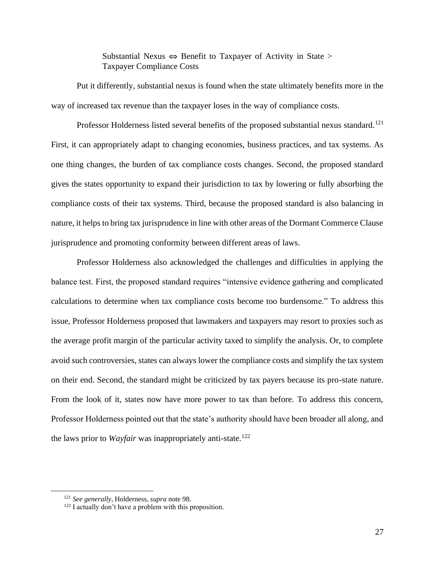Substantial Nexus  $\Leftrightarrow$  Benefit to Taxpayer of Activity in State > Taxpayer Compliance Costs

Put it differently, substantial nexus is found when the state ultimately benefits more in the way of increased tax revenue than the taxpayer loses in the way of compliance costs.

Professor Holderness listed several benefits of the proposed substantial nexus standard.<sup>121</sup> First, it can appropriately adapt to changing economies, business practices, and tax systems. As one thing changes, the burden of tax compliance costs changes. Second, the proposed standard gives the states opportunity to expand their jurisdiction to tax by lowering or fully absorbing the compliance costs of their tax systems. Third, because the proposed standard is also balancing in nature, it helps to bring tax jurisprudence in line with other areas of the Dormant Commerce Clause jurisprudence and promoting conformity between different areas of laws.

Professor Holderness also acknowledged the challenges and difficulties in applying the balance test. First, the proposed standard requires "intensive evidence gathering and complicated calculations to determine when tax compliance costs become too burdensome." To address this issue, Professor Holderness proposed that lawmakers and taxpayers may resort to proxies such as the average profit margin of the particular activity taxed to simplify the analysis. Or, to complete avoid such controversies, states can always lower the compliance costs and simplify the tax system on their end. Second, the standard might be criticized by tax payers because its pro-state nature. From the look of it, states now have more power to tax than before. To address this concern, Professor Holderness pointed out that the state's authority should have been broader all along, and the laws prior to *Wayfair* was inappropriately anti-state.<sup>122</sup>

<sup>121</sup> *See generally*, Holderness, *supra* note 98.

 $122$  I actually don't have a problem with this proposition.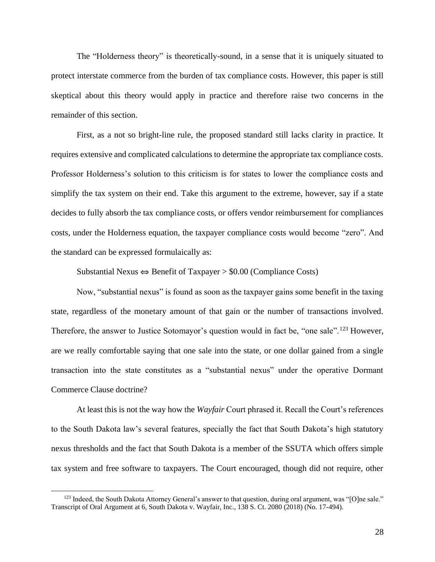The "Holderness theory" is theoretically-sound, in a sense that it is uniquely situated to protect interstate commerce from the burden of tax compliance costs. However, this paper is still skeptical about this theory would apply in practice and therefore raise two concerns in the remainder of this section.

First, as a not so bright-line rule, the proposed standard still lacks clarity in practice. It requires extensive and complicated calculations to determine the appropriate tax compliance costs. Professor Holderness's solution to this criticism is for states to lower the compliance costs and simplify the tax system on their end. Take this argument to the extreme, however, say if a state decides to fully absorb the tax compliance costs, or offers vendor reimbursement for compliances costs, under the Holderness equation, the taxpayer compliance costs would become "zero". And the standard can be expressed formulaically as:

Substantial Nexus  $\Leftrightarrow$  Benefit of Taxpayer > \$0.00 (Compliance Costs)

Now, "substantial nexus" is found as soon as the taxpayer gains some benefit in the taxing state, regardless of the monetary amount of that gain or the number of transactions involved. Therefore, the answer to Justice Sotomayor's question would in fact be, "one sale".<sup>123</sup> However, are we really comfortable saying that one sale into the state, or one dollar gained from a single transaction into the state constitutes as a "substantial nexus" under the operative Dormant Commerce Clause doctrine?

At least this is not the way how the *Wayfair* Court phrased it. Recall the Court's references to the South Dakota law's several features, specially the fact that South Dakota's high statutory nexus thresholds and the fact that South Dakota is a member of the SSUTA which offers simple tax system and free software to taxpayers. The Court encouraged, though did not require, other

<sup>&</sup>lt;sup>123</sup> Indeed, the South Dakota Attorney General's answer to that question, during oral argument, was "[O]ne sale." Transcript of Oral Argument at 6, South Dakota v. Wayfair, Inc., 138 S. Ct. 2080 (2018) (No. 17-494).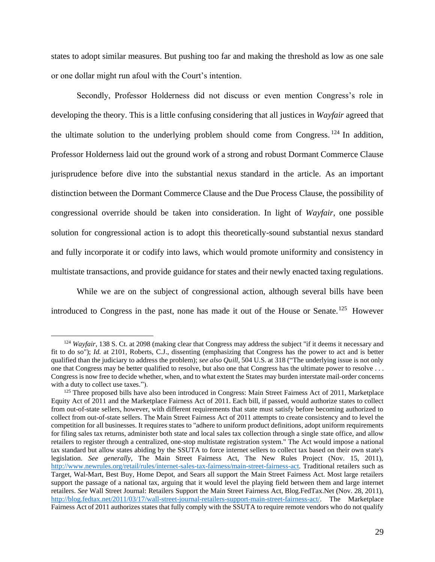states to adopt similar measures. But pushing too far and making the threshold as low as one sale or one dollar might run afoul with the Court's intention.

Secondly, Professor Holderness did not discuss or even mention Congress's role in developing the theory. This is a little confusing considering that all justices in *Wayfair* agreed that the ultimate solution to the underlying problem should come from Congress. <sup>124</sup> In addition, Professor Holderness laid out the ground work of a strong and robust Dormant Commerce Clause jurisprudence before dive into the substantial nexus standard in the article. As an important distinction between the Dormant Commerce Clause and the Due Process Clause, the possibility of congressional override should be taken into consideration. In light of *Wayfair*, one possible solution for congressional action is to adopt this theoretically-sound substantial nexus standard and fully incorporate it or codify into laws, which would promote uniformity and consistency in multistate transactions, and provide guidance for states and their newly enacted taxing regulations.

While we are on the subject of congressional action, although several bills have been introduced to Congress in the past, none has made it out of the House or Senate.<sup>125</sup> However

<sup>&</sup>lt;sup>124</sup> *Wayfair*, 138 S. Ct. at 2098 (making clear that Congress may address the subject "if it deems it necessary and fit to do so"); *Id.* at 2101, Roberts, C.J., dissenting (emphasizing that Congress has the power to act and is better qualified than the judiciary to address the problem); *see also Quill*, 504 U.S. at 318 ("The underlying issue is not only one that Congress may be better qualified to resolve, but also one that Congress has the ultimate power to resolve . . . Congress is now free to decide whether, when, and to what extent the States may burden interstate mail-order concerns with a duty to collect use taxes.").

<sup>&</sup>lt;sup>125</sup> Three proposed bills have also been introduced in Congress: Main Street Fairness Act of 2011, Marketplace Equity Act of 2011 and the Marketplace Fairness Act of 2011. Each bill, if passed, would authorize states to collect from out-of-state sellers, however, with different requirements that state must satisfy before becoming authorized to collect from out-of-state sellers. The Main Street Fairness Act of 2011 attempts to create consistency and to level the competition for all businesses. It requires states to "adhere to uniform product definitions, adopt uniform requirements for filing sales tax returns, administer both state and local sales tax collection through a single state office, and allow retailers to register through a centralized, one-stop multistate registration system." The Act would impose a national tax standard but allow states abiding by the SSUTA to force internet sellers to collect tax based on their own state's legislation. *See generally*, The Main Street Fairness Act, The New Rules Project (Nov. 15, 2011), [http://www.newrules.org/retail/rules/internet-sales-tax-fairness/main-street-fairness-act.](http://www.newrules.org/retail/rules/internet-sales-tax-fairness/main-street-fairness-act) Traditional retailers such as Target, Wal-Mart, Best Buy, Home Depot, and Sears all support the Main Street Fairness Act. Most large retailers support the passage of a national tax, arguing that it would level the playing field between them and large internet retailers. *See* Wall Street Journal: Retailers Support the Main Street Fairness Act, Blog.FedTax.Net (Nov. 28, 2011), [http://blog.fedtax.net/2011/03/17/wall-street-journal-retailers-support-main-street-fairness-act/.](http://blog.fedtax.net/2011/03/17/wall-street-journal-retailers-support-main-street-fairness-act/) The Marketplace Fairness Act of 2011 authorizes states that fully comply with the SSUTA to require remote vendors who do not qualify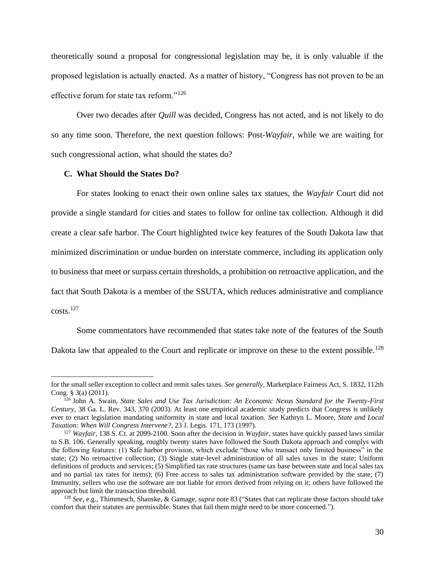theoretically sound a proposal for congressional legislation may be, it is only valuable if the proposed legislation is actually enacted. As a matter of history, "Congress has not proven to be an effective forum for state tax reform."<sup>126</sup>

Over two decades after *Quill* was decided, Congress has not acted, and is not likely to do so any time soon. Therefore, the next question follows: Post-*Wayfair*, while we are waiting for such congressional action, what should the states do?

#### **C. What Should the States Do?**

For states looking to enact their own online sales tax statues, the *Wayfair* Court did not provide a single standard for cities and states to follow for online tax collection. Although it did create a clear safe harbor. The Court highlighted twice key features of the South Dakota law that minimized discrimination or undue burden on interstate commerce, including its application only to business that meet or surpass certain thresholds, a prohibition on retroactive application, and the fact that South Dakota is a member of the SSUTA, which reduces administrative and compliance  $costs.<sup>127</sup>$ 

Some commentators have recommended that states take note of the features of the South Dakota law that appealed to the Court and replicate or improve on these to the extent possible.<sup>128</sup>

for the small seller exception to collect and remit sales taxes. *See generally*, Marketplace Fairness Act, S. 1832, 112th Cong. § 3(a) (2011).

<sup>126</sup> John A. Swain, *State Sales and Use Tax Jurisdiction: An Economic Nexus Standard for the Twenty-First Century,* 38 Ga. L. Rev. 343, 370 (2003). At least one empirical academic study predicts that Congress is unlikely ever to enact legislation mandating uniformity in state and local taxation. *See* Kathryn L. Moore, *State and Local Taxation: When Will Congress Intervene?*, 23 J. Legis. 171, 173 (1997).

<sup>127</sup> *Wayfair*, 138 S. Ct. at 2099-2100. Soon after the decision in *Wayfair*, states have quickly passed laws similar to S.B. 106. Generally speaking, roughly twenty states have followed the South Dakota approach and complys with the following features: (1) Safe harbor provision, which exclude "those who transact only limited business" in the state; (2) No retroactive collection; (3) Single state-level administration of all sales taxes in the state; Uniform definitions of products and services; (5) Simplified tax rate structures (same tax base between state and local sales tax and no partial tax rates for items); (6) Free access to sales tax administration software provided by the state; (7) Immunity, sellers who use the software are not liable for errors derived from relying on it; others have followed the approach but limit the transaction threshold.

<sup>128</sup> *See*, e.g., Thimmesch, Shanske, & Gamage, *supra* note 83 ("States that can replicate those factors should take comfort that their statutes are permissible. States that fail them might need to be more concerned.").